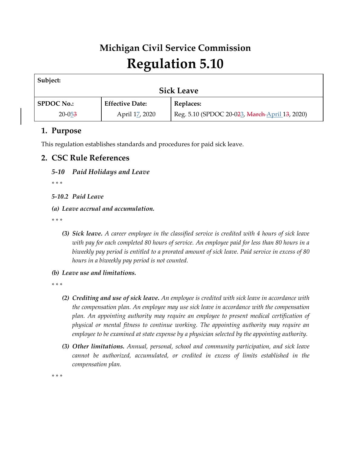# **Michigan Civil Service Commission Regulation 5.10**

| Subject:          |                        |                                                |  |
|-------------------|------------------------|------------------------------------------------|--|
| <b>Sick Leave</b> |                        |                                                |  |
| <b>SPDOC No.:</b> | <b>Effective Date:</b> | Replaces:                                      |  |
| $20 - 053$        | April 17, 2020         | Reg. 5.10 (SPDOC 20-023, March April 13, 2020) |  |
|                   |                        |                                                |  |

# **1. Purpose**

This regulation establishes standards and procedures for paid sick leave.

## **2. CSC Rule References**

*5-10 Paid Holidays and Leave*

*\* \* \** 

*5-10.2 Paid Leave*

*(a) Leave accrual and accumulation.*

*\* \* \** 

- *(3) Sick leave. A career employee in the classified service is credited with 4 hours of sick leave with pay for each completed 80 hours of service. An employee paid for less than 80 hours in a biweekly pay period is entitled to a prorated amount of sick leave. Paid service in excess of 80 hours in a biweekly pay period is not counted.*
- *(b) Leave use and limitations.*

*\* \* \** 

- *(2) Crediting and use of sick leave. An employee is credited with sick leave in accordance with the compensation plan. An employee may use sick leave in accordance with the compensation plan. An appointing authority may require an employee to present medical certification of physical or mental fitness to continue working. The appointing authority may require an employee to be examined at state expense by a physician selected by the appointing authority.*
- *(3) Other limitations. Annual, personal, school and community participation, and sick leave cannot be authorized, accumulated, or credited in excess of limits established in the compensation plan.*

*\* \* \**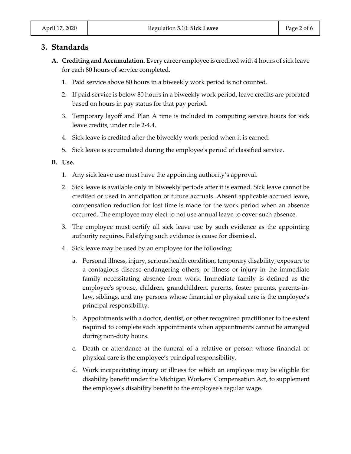## **3. Standards**

- **A. Crediting and Accumulation.** Every career employee is credited with 4 hours of sick leave for each 80 hours of service completed.
	- 1. Paid service above 80 hours in a biweekly work period is not counted.
	- 2. If paid service is below 80 hours in a biweekly work period, leave credits are prorated based on hours in pay status for that pay period.
	- 3. Temporary layoff and Plan A time is included in computing service hours for sick leave credits, under rule 2-4.4.
	- 4. Sick leave is credited after the biweekly work period when it is earned.
	- 5. Sick leave is accumulated during the employee's period of classified service.

#### **B. Use.**

- 1. Any sick leave use must have the appointing authority's approval.
- 2. Sick leave is available only in biweekly periods after it is earned. Sick leave cannot be credited or used in anticipation of future accruals. Absent applicable accrued leave, compensation reduction for lost time is made for the work period when an absence occurred. The employee may elect to not use annual leave to cover such absence.
- 3. The employee must certify all sick leave use by such evidence as the appointing authority requires. Falsifying such evidence is cause for dismissal.
- 4. Sick leave may be used by an employee for the following:
	- a. Personal illness, injury, serious health condition, temporary disability, exposure to a contagious disease endangering others, or illness or injury in the immediate family necessitating absence from work. Immediate family is defined as the employee's spouse, children, grandchildren, parents, foster parents, parents-inlaw, siblings, and any persons whose financial or physical care is the employee's principal responsibility.
	- b. Appointments with a doctor, dentist, or other recognized practitioner to the extent required to complete such appointments when appointments cannot be arranged during non-duty hours.
	- c. Death or attendance at the funeral of a relative or person whose financial or physical care is the employee's principal responsibility.
	- d. Work incapacitating injury or illness for which an employee may be eligible for disability benefit under the Michigan Workers' Compensation Act, to supplement the employee's disability benefit to the employee's regular wage.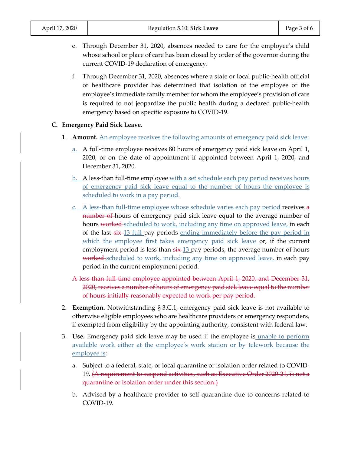| April 17, 2020 |
|----------------|
|----------------|

- e. Through December 31, 2020, absences needed to care for the employee's child whose school or place of care has been closed by order of the governor during the current COVID-19 declaration of emergency.
- f. Through December 31, 2020, absences where a state or local public-health official or healthcare provider has determined that isolation of the employee or the employee's immediate family member for whom the employee's provision of care is required to not jeopardize the public health during a declared public-health emergency based on specific exposure to COVID-19.

#### **C. Emergency Paid Sick Leave.**

- 1. **Amount.** An employee receives the following amounts of emergency paid sick leave:
	- a. A full-time employee receives 80 hours of emergency paid sick leave on April 1, 2020, or on the date of appointment if appointed between April 1, 2020, and December 31, 2020.
	- b. A less-than full-time employee with a set schedule each pay period receives hours of emergency paid sick leave equal to the number of hours the employee is scheduled to work in a pay period.
	- c. A less-than full-time employee whose schedule varies each pay period receives a number of hours of emergency paid sick leave equal to the average number of hours worked scheduled to work, including any time on approved leave, in each of the last  $\frac{e^{i\theta}}{2}$  full pay periods ending immediately before the pay period in which the employee first takes emergency paid sick leave or, if the current employment period is less than  $\frac{13}{13}$  pay periods, the average number of hours worked scheduled to work, including any time on approved leave, in each pay period in the current employment period.
	- A less than full-time employee appointed between April 1, 2020, and December 31, 2020, receives a number of hours of emergency paid sick leave equal to the number of hours initially reasonably expected to work per pay period.
- 2. **Exemption.** Notwithstanding § 3.C.1, emergency paid sick leave is not available to otherwise eligible employees who are healthcare providers or emergency responders, if exempted from eligibility by the appointing authority, consistent with federal law.
- 3. **Use.** Emergency paid sick leave may be used if the employee is unable to perform available work either at the employee's work station or by telework because the employee is:
	- a. Subject to a federal, state, or local quarantine or isolation order related to COVID-19. (A requirement to suspend activities, such as Executive Order 2020-21, is not a quarantine or isolation order under this section.)
	- b. Advised by a healthcare provider to self-quarantine due to concerns related to COVID-19.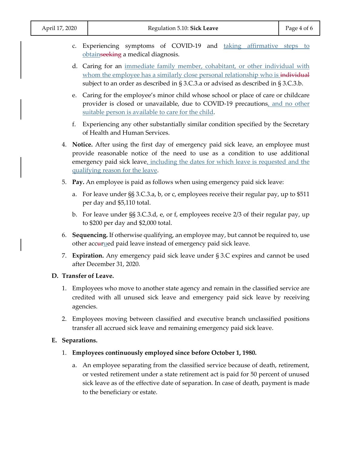- c. Experiencing symptoms of COVID-19 and taking affirmative steps to obtainseeking a medical diagnosis.
- d. Caring for an immediate family member, cohabitant, or other individual with whom the employee has a similarly close personal relationship who is individual subject to an order as described in § 3.C.3.a or advised as described in § 3.C.3.b.
- e. Caring for the employee's minor child whose school or place of care or childcare provider is closed or unavailable, due to COVID-19 precautions, and no other suitable person is available to care for the child.
- f. Experiencing any other substantially similar condition specified by the Secretary of Health and Human Services.
- 4. **Notice.** After using the first day of emergency paid sick leave, an employee must provide reasonable notice of the need to use as a condition to use additional emergency paid sick leave, including the dates for which leave is requested and the qualifying reason for the leave.
- 5. **Pay.** An employee is paid as follows when using emergency paid sick leave:
	- a. For leave under §§ 3.C.3.a, b, or c, employees receive their regular pay, up to \$511 per day and \$5,110 total.
	- b. For leave under §§ 3.C.3.d, e, or f, employees receive 2/3 of their regular pay, up to \$200 per day and \$2,000 total.
- 6. **Sequencing.** If otherwise qualifying, an employee may, but cannot be required to, use other accurued paid leave instead of emergency paid sick leave.
- 7. **Expiration.** Any emergency paid sick leave under § 3.C expires and cannot be used after December 31, 2020.

#### **D. Transfer of Leave.**

- 1. Employees who move to another state agency and remain in the classified service are credited with all unused sick leave and emergency paid sick leave by receiving agencies.
- 2. Employees moving between classified and executive branch unclassified positions transfer all accrued sick leave and remaining emergency paid sick leave.

#### **E. Separations.**

- 1. **Employees continuously employed since before October 1, 1980.**
	- a. An employee separating from the classified service because of death, retirement, or vested retirement under a state retirement act is paid for 50 percent of unused sick leave as of the effective date of separation. In case of death, payment is made to the beneficiary or estate.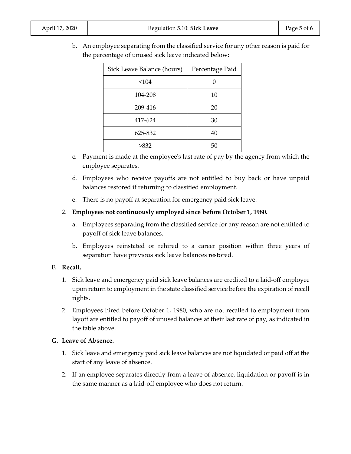b. An employee separating from the classified service for any other reason is paid for the percentage of unused sick leave indicated below:

| Sick Leave Balance (hours) | Percentage Paid |
|----------------------------|-----------------|
| < 104                      |                 |
| 104-208                    | 10              |
| 209-416                    | 20              |
| 417-624                    | 30              |
| 625-832                    | 40              |
| >832                       | 50              |

- c. Payment is made at the employee's last rate of pay by the agency from which the employee separates.
- d. Employees who receive payoffs are not entitled to buy back or have unpaid balances restored if returning to classified employment.
- e. There is no payoff at separation for emergency paid sick leave.
- 2. **Employees not continuously employed since before October 1, 1980.**
	- a. Employees separating from the classified service for any reason are not entitled to payoff of sick leave balances.
	- b. Employees reinstated or rehired to a career position within three years of separation have previous sick leave balances restored.

#### **F. Recall.**

- 1. Sick leave and emergency paid sick leave balances are credited to a laid-off employee upon return to employment in the state classified service before the expiration of recall rights.
- 2. Employees hired before October 1, 1980, who are not recalled to employment from layoff are entitled to payoff of unused balances at their last rate of pay, as indicated in the table above.

#### **G. Leave of Absence.**

- 1. Sick leave and emergency paid sick leave balances are not liquidated or paid off at the start of any leave of absence.
- 2. If an employee separates directly from a leave of absence, liquidation or payoff is in the same manner as a laid-off employee who does not return.